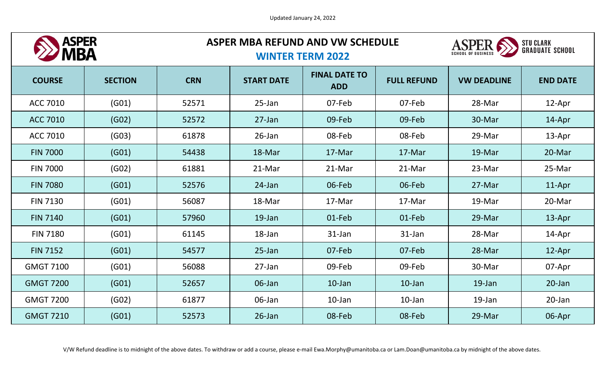

# **ASPER MBA REFUND AND VW SCHEDULE**



### **WINTER TERM 2022**

| <b>COURSE</b>    | <b>SECTION</b> | <b>CRN</b> | <b>START DATE</b> | <b>FINAL DATE TO</b><br><b>ADD</b> | <b>FULL REFUND</b> | <b>VW DEADLINE</b> | <b>END DATE</b> |
|------------------|----------------|------------|-------------------|------------------------------------|--------------------|--------------------|-----------------|
| <b>ACC 7010</b>  | (G01)          | 52571      | 25-Jan            | 07-Feb                             | 07-Feb             | 28-Mar             | 12-Apr          |
| <b>ACC 7010</b>  | (GO2)          | 52572      | $27$ -Jan         | 09-Feb                             | 09-Feb             | 30-Mar             | 14-Apr          |
| <b>ACC 7010</b>  | (GO3)          | 61878      | $26$ -Jan         | 08-Feb                             | 08-Feb             | 29-Mar             | 13-Apr          |
| <b>FIN 7000</b>  | (G01)          | 54438      | 18-Mar            | 17-Mar                             | 17-Mar             | 19-Mar             | 20-Mar          |
| <b>FIN 7000</b>  | (GO2)          | 61881      | 21-Mar            | 21-Mar                             | 21-Mar             | 23-Mar             | 25-Mar          |
| <b>FIN 7080</b>  | (G01)          | 52576      | 24-Jan            | 06-Feb                             | 06-Feb             | 27-Mar             | 11-Apr          |
| <b>FIN 7130</b>  | (G01)          | 56087      | 18-Mar            | 17-Mar                             | 17-Mar             | 19-Mar             | 20-Mar          |
| <b>FIN 7140</b>  | (G01)          | 57960      | 19-Jan            | 01-Feb                             | 01-Feb             | 29-Mar             | 13-Apr          |
| <b>FIN 7180</b>  | (G01)          | 61145      | 18-Jan            | 31-Jan                             | 31-Jan             | 28-Mar             | 14-Apr          |
| <b>FIN 7152</b>  | (G01)          | 54577      | $25$ -Jan         | 07-Feb                             | 07-Feb             | 28-Mar             | 12-Apr          |
| <b>GMGT 7100</b> | (G01)          | 56088      | $27$ -Jan         | 09-Feb                             | 09-Feb             | 30-Mar             | 07-Apr          |
| <b>GMGT 7200</b> | (G01)          | 52657      | 06-Jan            | $10$ -Jan                          | $10$ -Jan          | 19-Jan             | 20-Jan          |
| <b>GMGT 7200</b> | (GO2)          | 61877      | 06-Jan            | $10$ -Jan                          | $10$ -Jan          | 19-Jan             | 20-Jan          |
| <b>GMGT 7210</b> | (G01)          | 52573      | $26$ -Jan         | 08-Feb                             | 08-Feb             | 29-Mar             | 06-Apr          |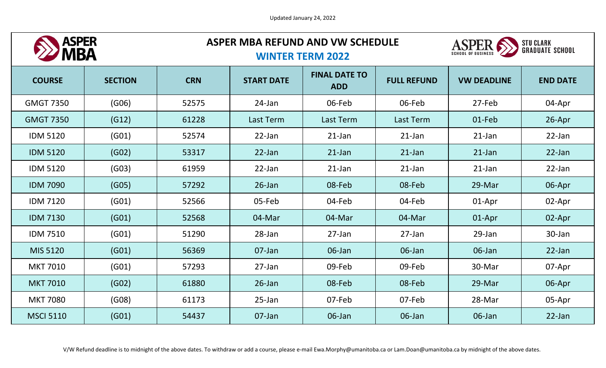

# **ASPER MBA REFUND AND VW SCHEDULE**



### **WINTER TERM 2022**

| <b>COURSE</b>    | <b>SECTION</b> | <b>CRN</b> | <b>START DATE</b> | <b>FINAL DATE TO</b><br><b>ADD</b> | <b>FULL REFUND</b> | <b>VW DEADLINE</b> | <b>END DATE</b> |
|------------------|----------------|------------|-------------------|------------------------------------|--------------------|--------------------|-----------------|
| <b>GMGT 7350</b> | (G06)          | 52575      | 24-Jan            | 06-Feb                             | 06-Feb             | 27-Feb             | 04-Apr          |
| <b>GMGT 7350</b> | (G12)          | 61228      | Last Term         | Last Term                          | Last Term          | 01-Feb             | 26-Apr          |
| <b>IDM 5120</b>  | (G01)          | 52574      | $22$ -Jan         | $21$ -Jan                          | $21$ -Jan          | $21$ -Jan          | $22$ -Jan       |
| <b>IDM 5120</b>  | (GO2)          | 53317      | $22$ -Jan         | $21$ -Jan                          | $21$ -Jan          | $21$ -Jan          | $22$ -Jan       |
| <b>IDM 5120</b>  | (GO3)          | 61959      | 22-Jan            | $21$ -Jan                          | $21$ -Jan          | $21$ -Jan          | 22-Jan          |
| <b>IDM 7090</b>  | (GO5)          | 57292      | $26$ -Jan         | 08-Feb                             | 08-Feb             | 29-Mar             | 06-Apr          |
| <b>IDM 7120</b>  | (G01)          | 52566      | 05-Feb            | 04-Feb                             | 04-Feb             | 01-Apr             | 02-Apr          |
| <b>IDM 7130</b>  | (G01)          | 52568      | 04-Mar            | 04-Mar                             | 04-Mar             | 01-Apr             | 02-Apr          |
| <b>IDM 7510</b>  | (G01)          | 51290      | 28-Jan            | 27-Jan                             | 27-Jan             | 29-Jan             | 30-Jan          |
| MIS 5120         | (G01)          | 56369      | 07-Jan            | 06-Jan                             | 06-Jan             | 06-Jan             | 22-Jan          |
| <b>MKT 7010</b>  | (G01)          | 57293      | $27$ -Jan         | 09-Feb                             | 09-Feb             | 30-Mar             | 07-Apr          |
| <b>MKT 7010</b>  | (GO2)          | 61880      | $26$ -Jan         | 08-Feb                             | 08-Feb             | 29-Mar             | 06-Apr          |
| <b>MKT 7080</b>  | (G08)          | 61173      | $25$ -Jan         | 07-Feb                             | 07-Feb             | 28-Mar             | 05-Apr          |
| <b>MSCI 5110</b> | (G01)          | 54437      | 07-Jan            | 06-Jan                             | 06-Jan             | 06-Jan             | 22-Jan          |